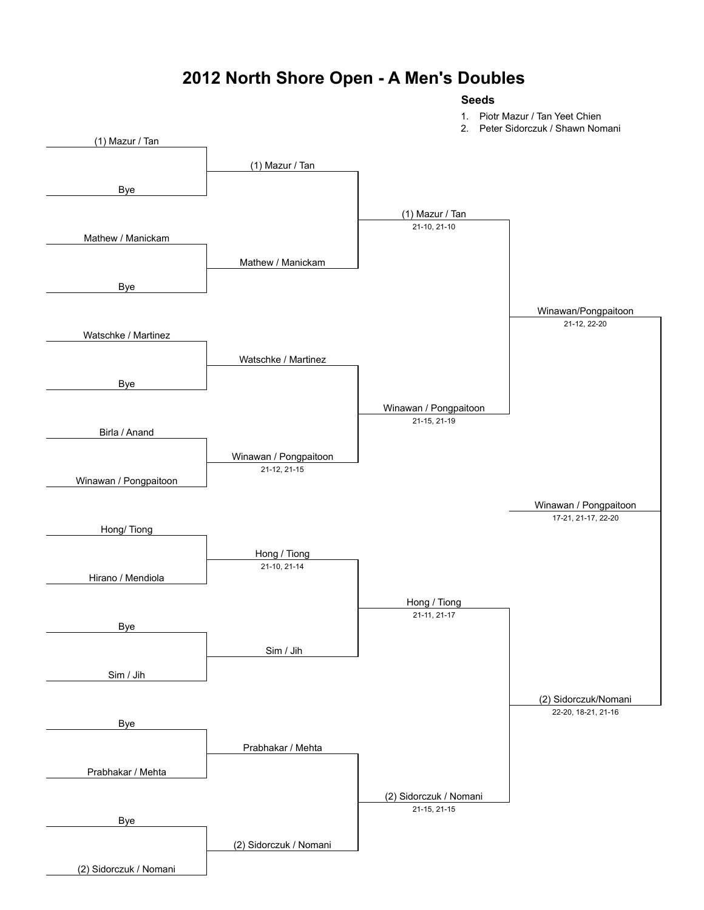#### **2012 North Shore Open - A Men's Doubles**

#### **Seeds**

1. Piotr Mazur / Tan Yeet Chien

2. Peter Sidorczuk / Shawn Nomani

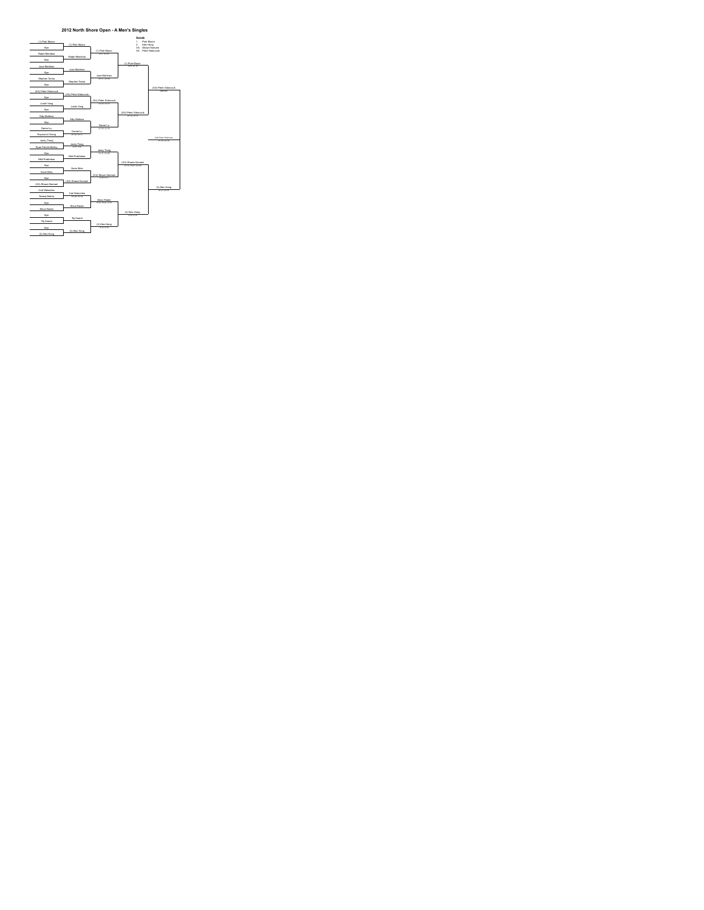

#### **2012 North Shore Open - A Men's Singles**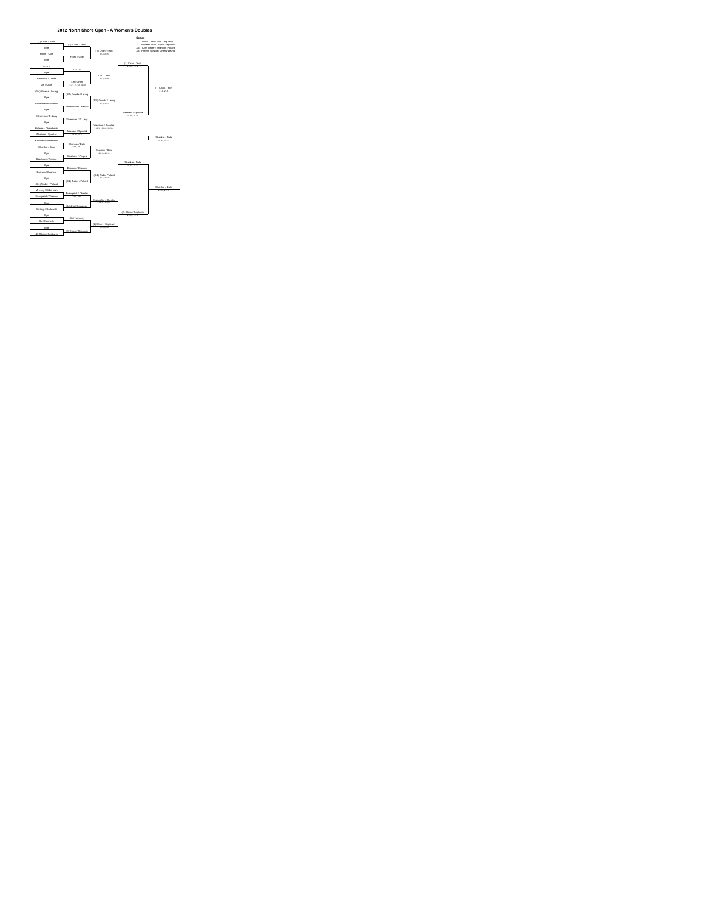

#### **2012 North Shore Open - A Women's Doubles**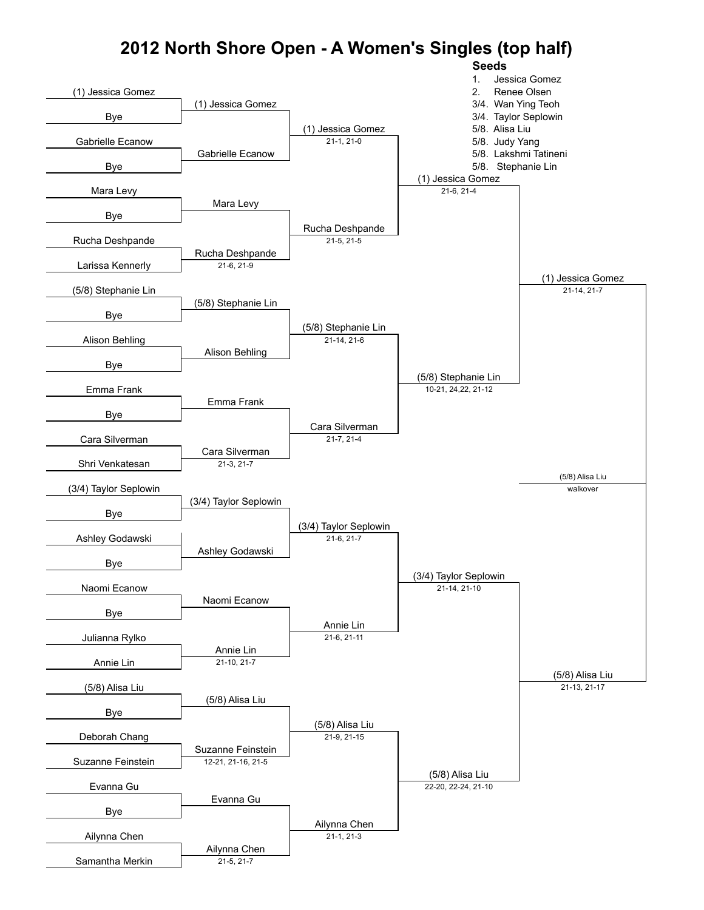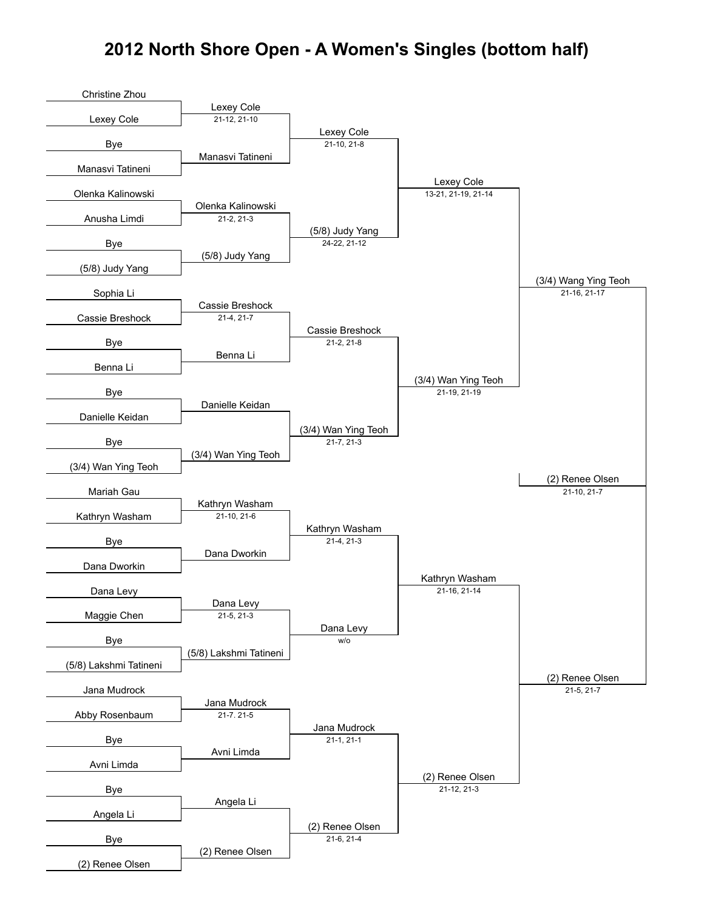#### **2012 North Shore Open - A Women's Singles (bottom half)**

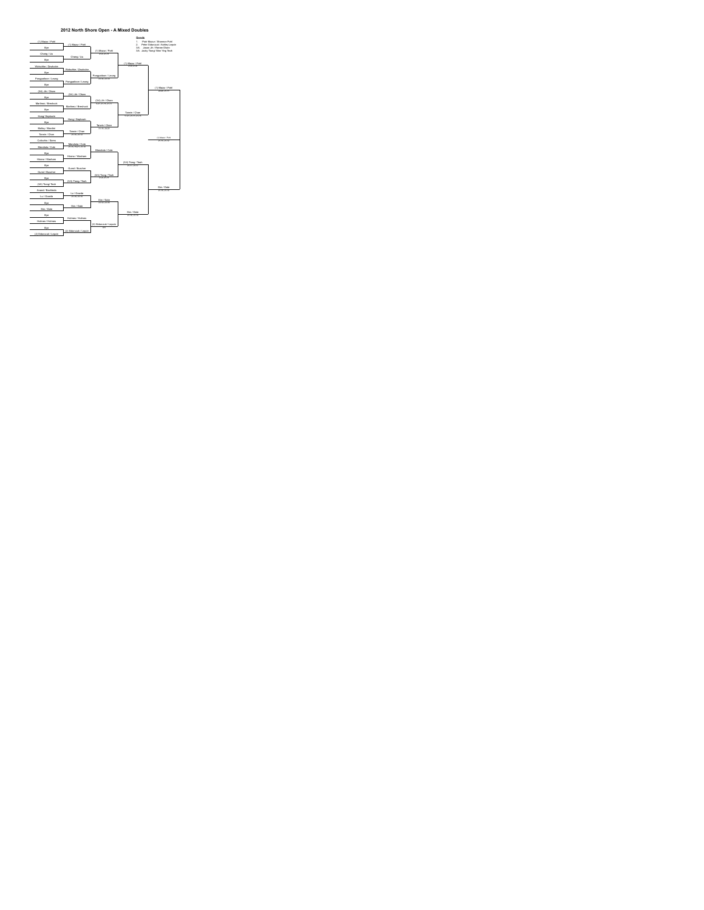

#### **2012 North Shore Open - A Mixed Doubles**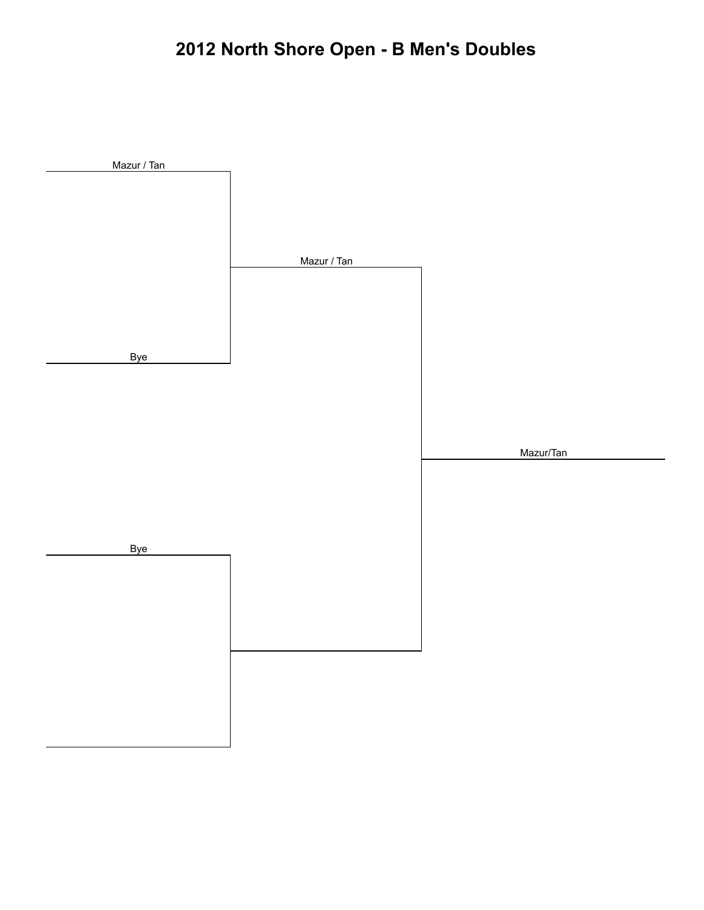# **2012 North Shore Open - B Men's Doubles**

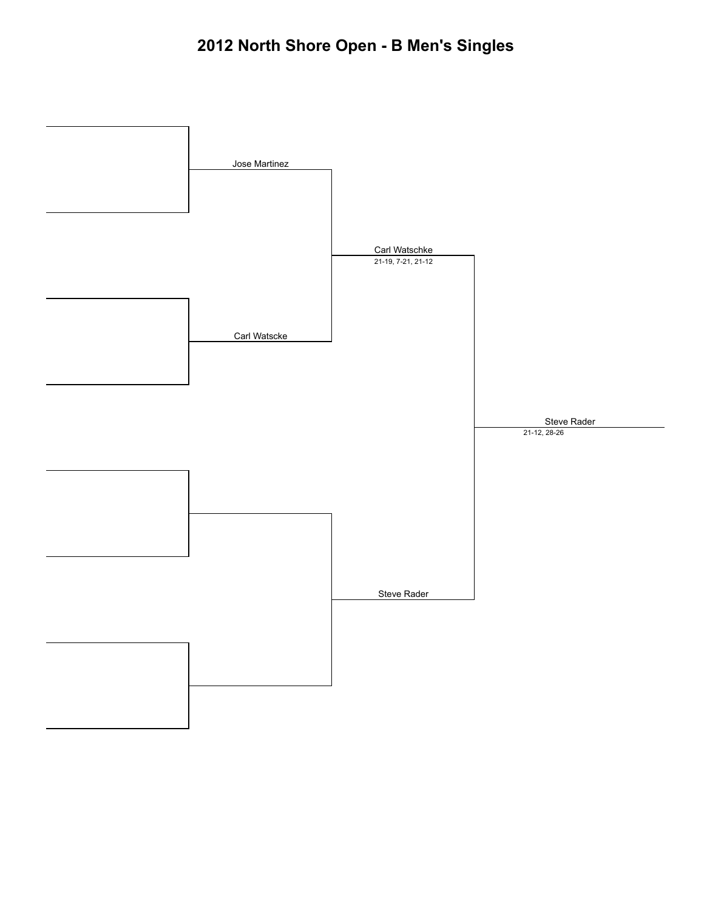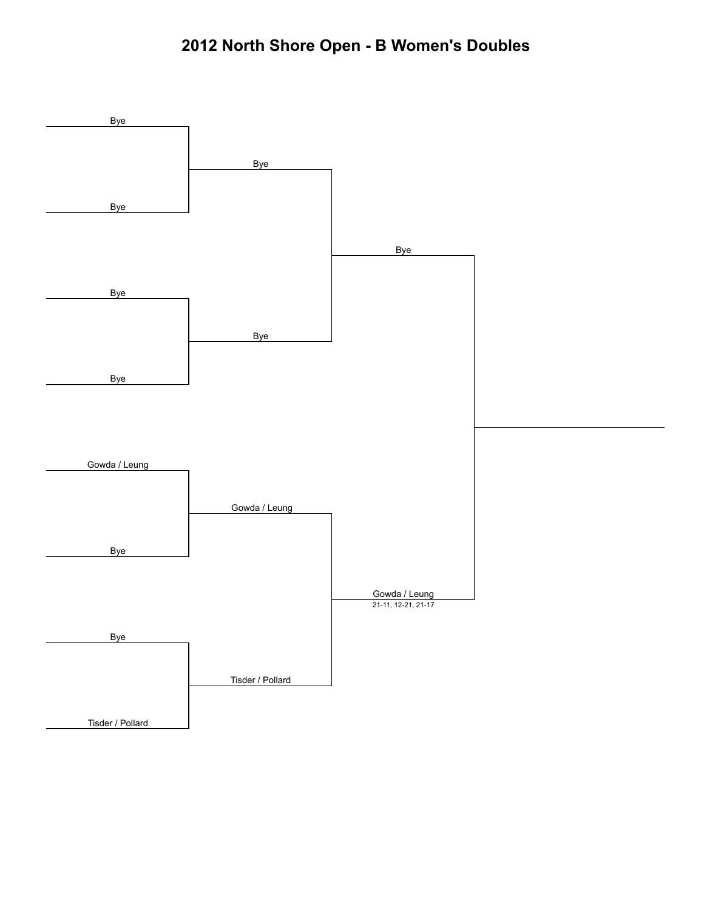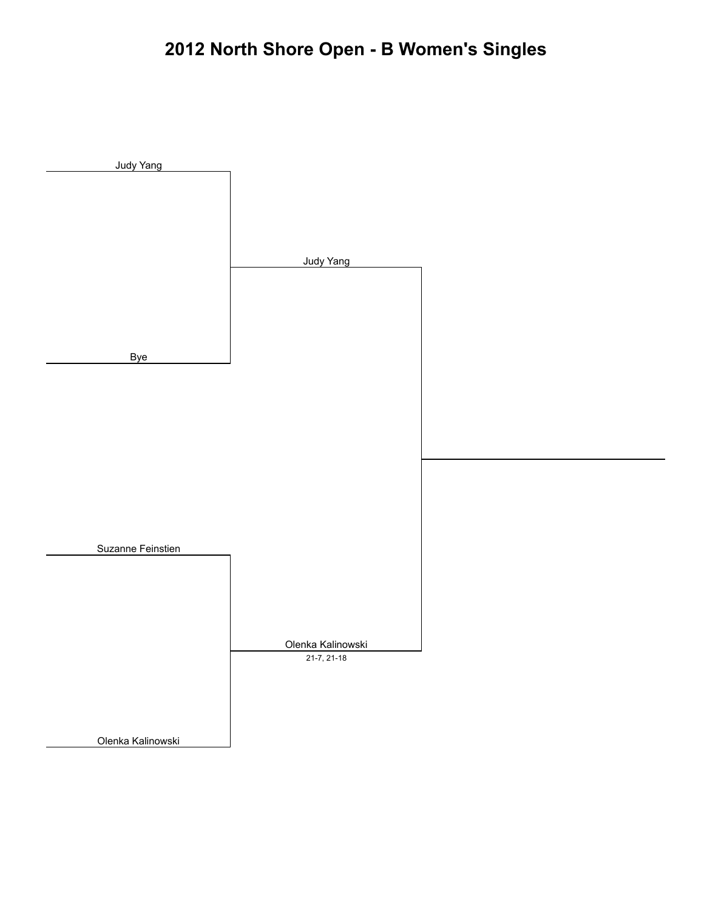# **2012 North Shore Open - B Women's Singles**

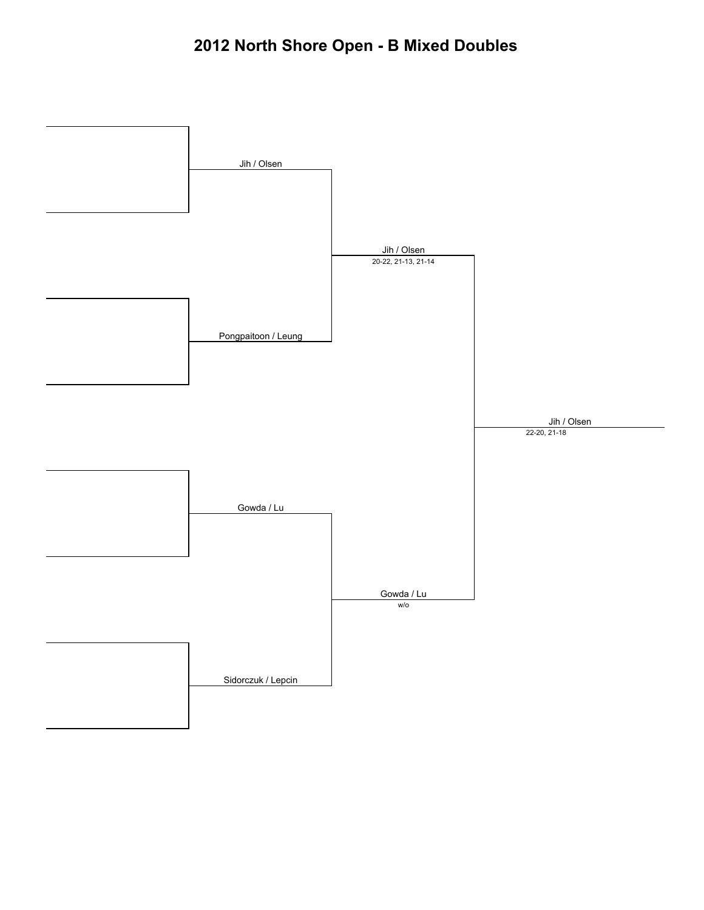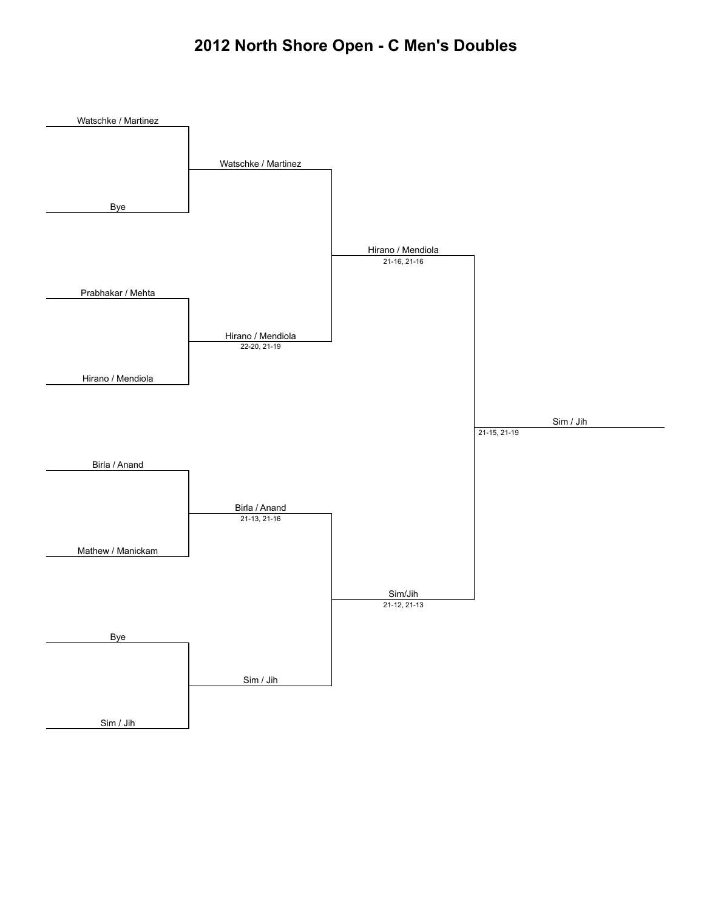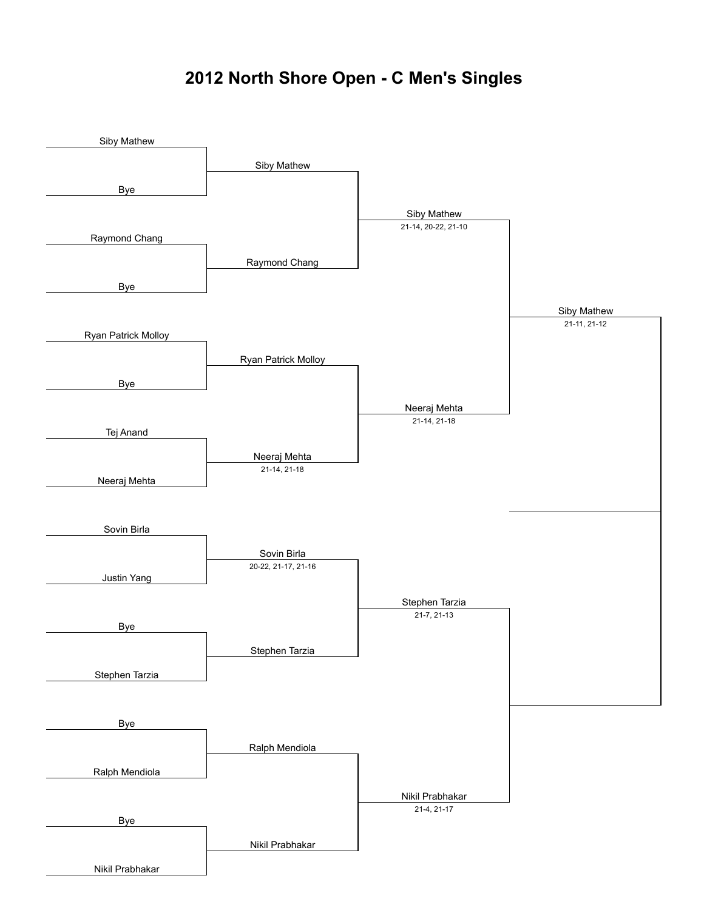### **2012 North Shore Open - C Men's Singles**

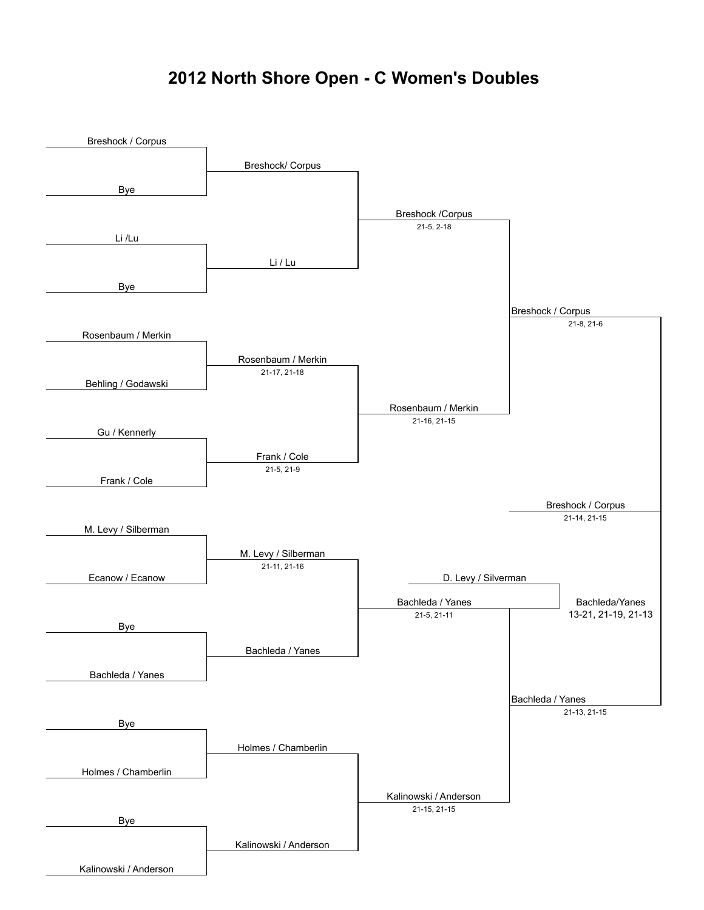### **2012 North Shore Open - C Women's Doubles**

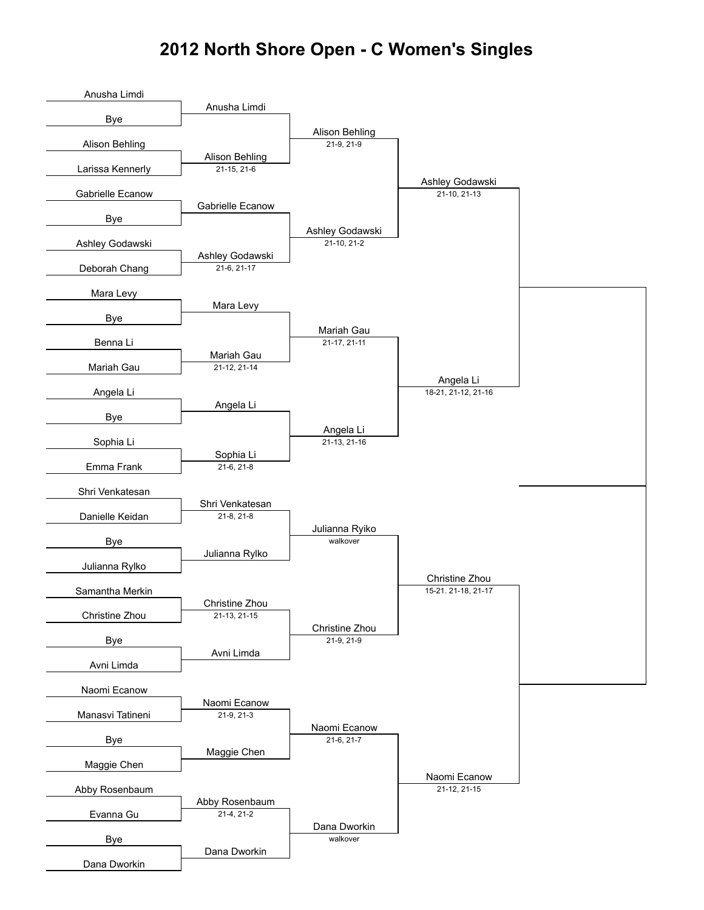#### **2012 North Shore Open - C Women's Singles**

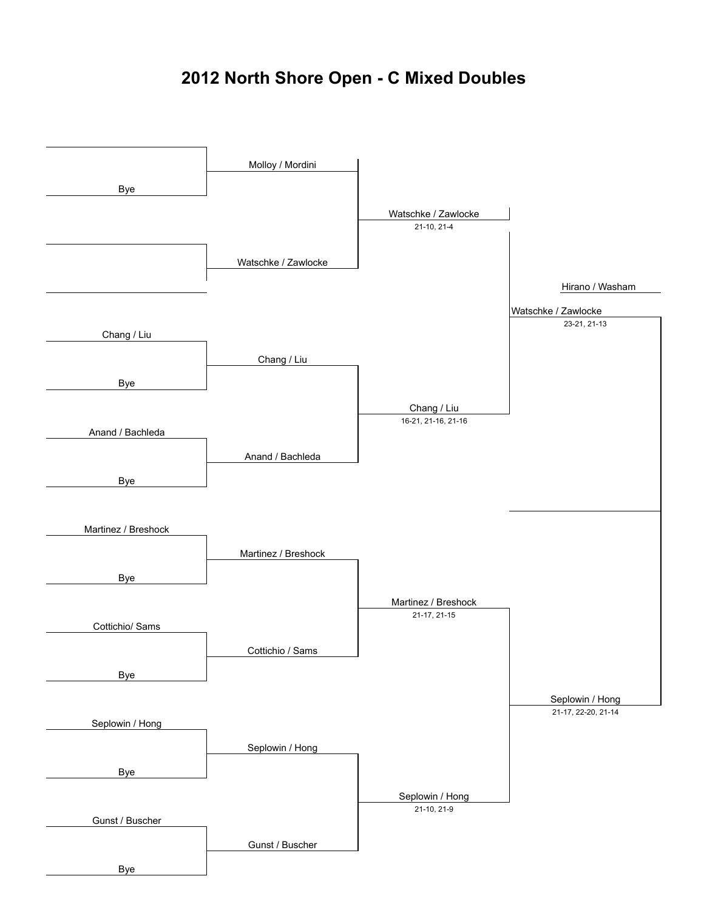### **2012 North Shore Open - C Mixed Doubles**

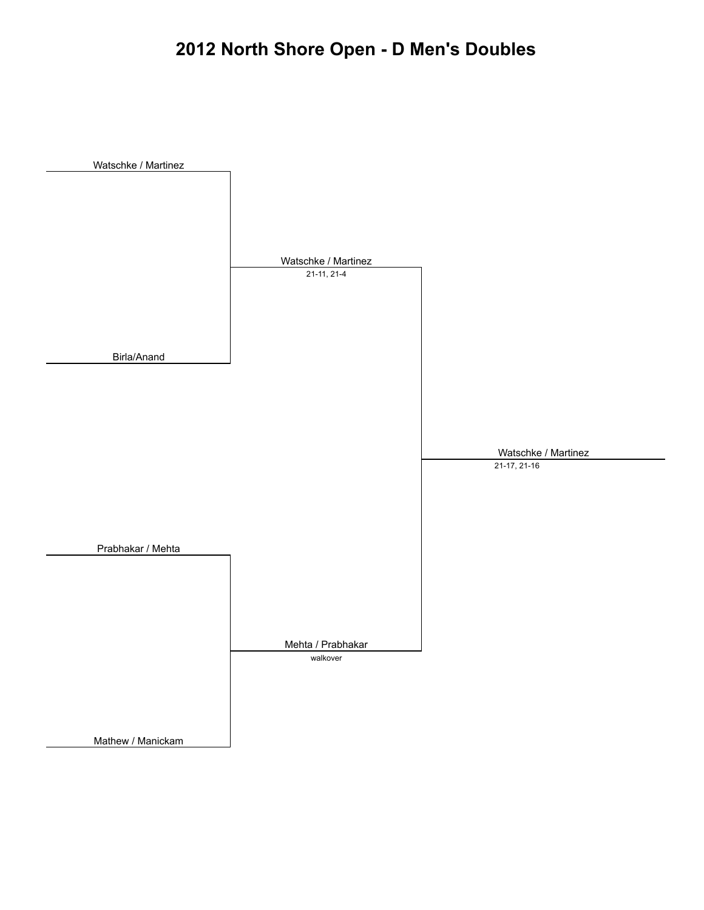## **2012 North Shore Open - D Men's Doubles**

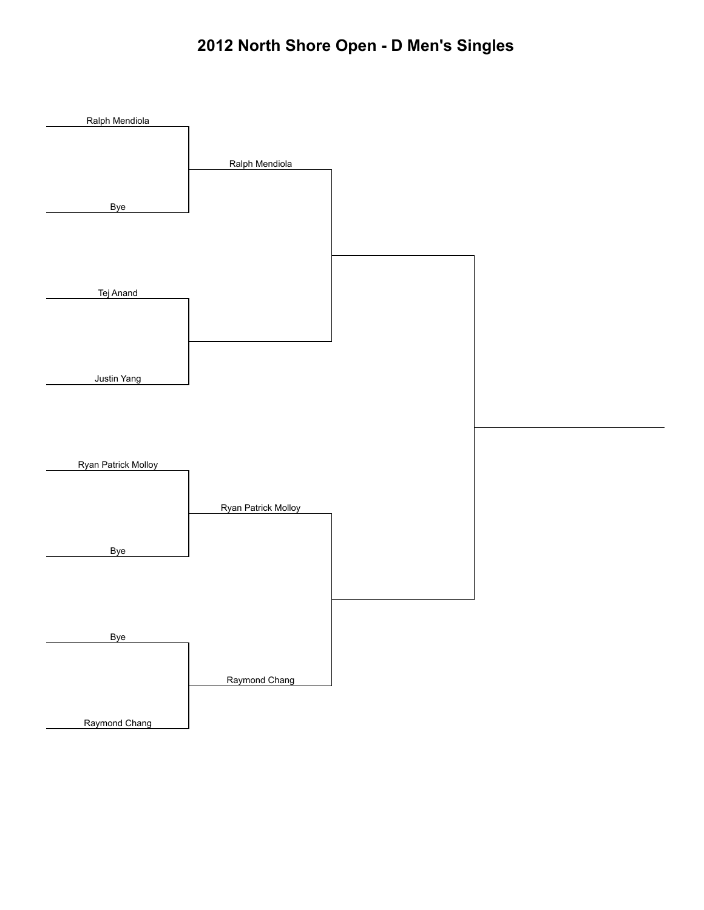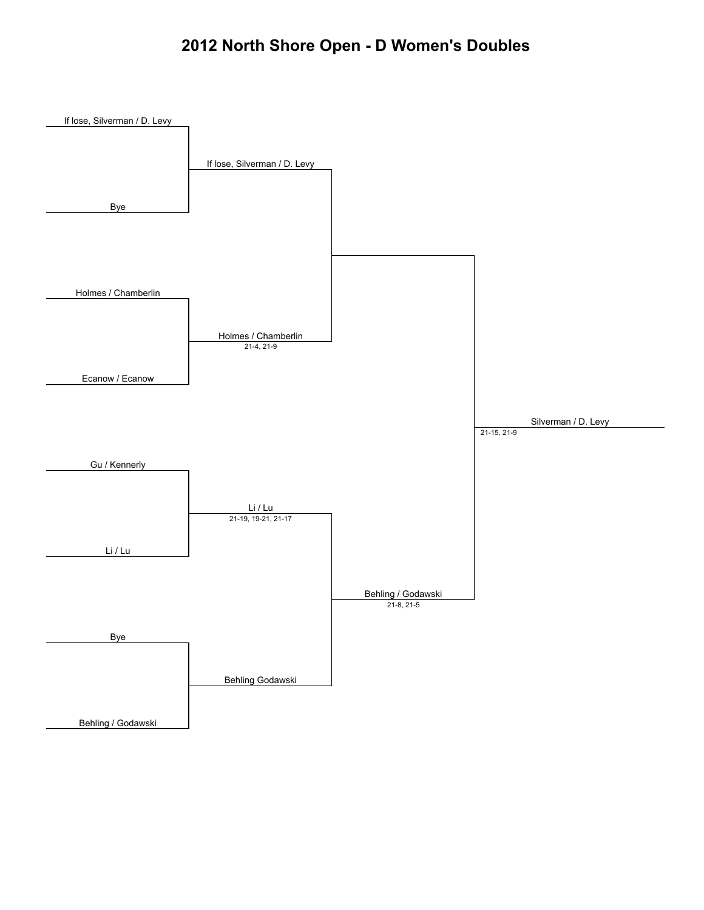#### **2012 North Shore Open - D Women's Doubles**

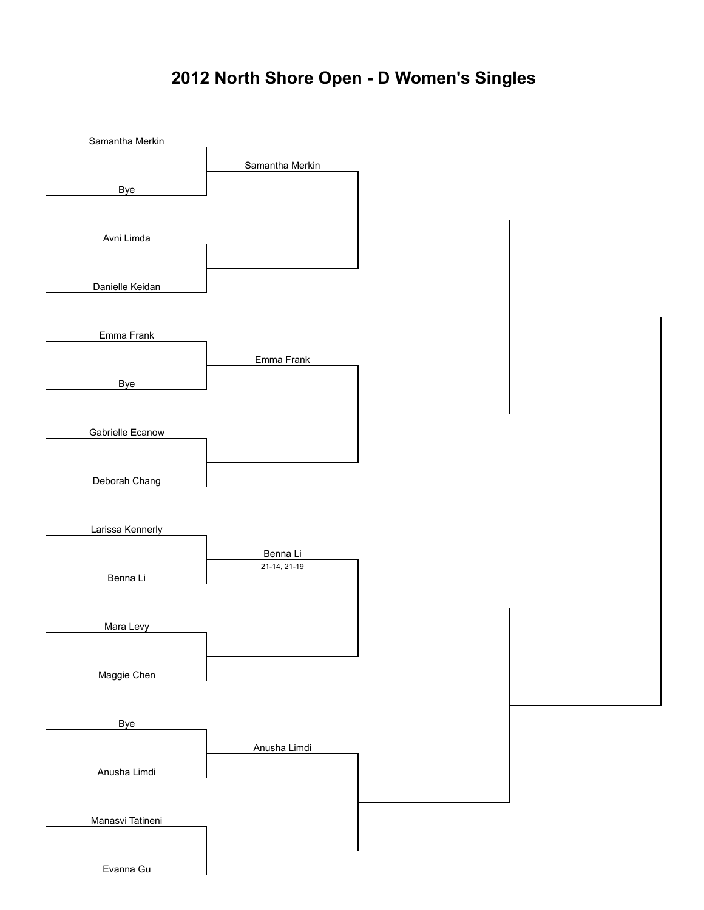### **2012 North Shore Open - D Women's Singles**